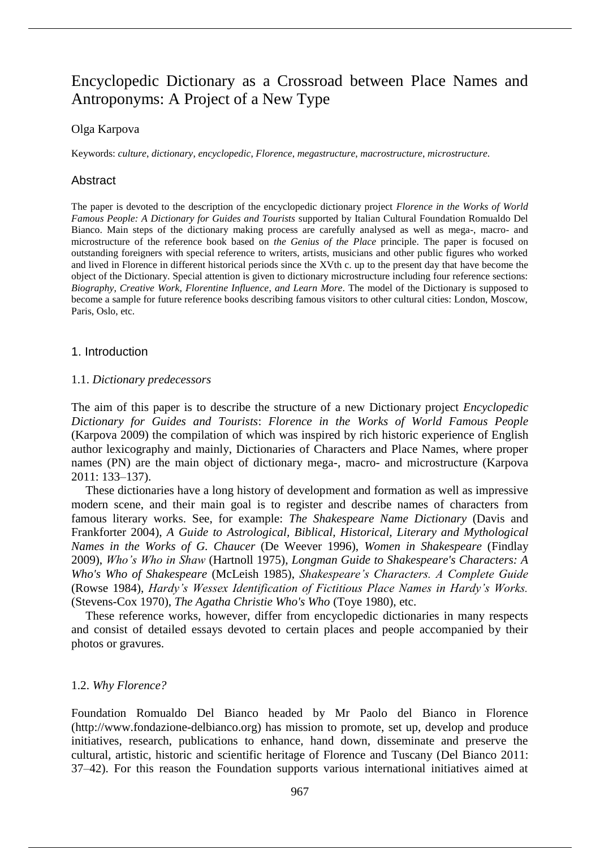# Encyclopedic Dictionary as a Crossroad between Place Names and Antroponyms: A Project of a New Type

# Olga Karpova

Keywords: *culture*, *dictionary*, *encyclopedic*, *Florence*, *megastructure*, *macrostructure*, *microstructure*.

# Abstract

The paper is devoted to the description of the encyclopedic dictionary project *Florence in the Works of World Famous People: A Dictionary for Guides and Tourists* supported by Italian Cultural Foundation Romualdo Del Bianco. Main steps of the dictionary making process are carefully analysed as well as mega-, macro- and microstructure of the reference book based on *the Genius of the Place* principle. The paper is focused on outstanding foreigners with special reference to writers, artists, musicians and other public figures who worked and lived in Florence in different historical periods since the XVth c. up to the present day that have become the object of the Dictionary. Special attention is given to dictionary microstructure including four reference sections: *Biography*, *Creative Work, Florentine Influence*, *and Learn More*. The model of the Dictionary is supposed to become a sample for future reference books describing famous visitors to other cultural cities: London, Moscow, Paris, Oslo, etc.

## 1. Introduction

### 1.1. *Dictionary predecessors*

The aim of this paper is to describe the structure of a new Dictionary project *Encyclopedic Dictionary for Guides and Tourists*: *Florence in the Works of World Famous People*  (Karpova 2009) the compilation of which was inspired by rich historic experience of English author lexicography and mainly, Dictionaries of Characters and Place Names, where proper names (PN) are the main object of dictionary mega-, macro- and microstructure (Karpova 2011: 133–137).

These dictionaries have a long history of development and formation as well as impressive modern scene, and their main goal is to register and describe names of characters from famous literary works. See, for example: *The Shakespeare Name Dictionary* (Davis and Frankforter 2004), *A Guide to Astrological, Biblical, Historical, Literary and Mythological Names in the Works of G. Chaucer* (De Weever 1996), *Women in Shakespeare* (Findlay 2009), *Who's Who in Shaw* (Hartnoll 1975), *Longman Guide to Shakespeare's Characters: A Who's Who of Shakespeare* (McLeish 1985), *Shakespeare's Characters. A Complete Guide* (Rowse 1984), *Hardy's Wessex Identification of Fictitious Place Names in Hardy's Works.*  (Stevens-Cox 1970), *The Agatha Christie Who's Who* (Toye 1980), etc.

These reference works, however, differ from encyclopedic dictionaries in many respects and consist of detailed essays devoted to certain places and people accompanied by their photos or gravures.

## 1.2. *Why Florence?*

Foundation Romualdo Del Bianco headed by Mr Paolo del Bianco in Florence (http://www.fondazione-delbianco.org) has mission to promote, set up, develop and produce initiatives, research, publications to enhance, hand down, disseminate and preserve the cultural, artistic, historic and scientific heritage of Florence and Tuscany (Del Bianco 2011: 37–42). For this reason the Foundation supports various international initiatives aimed at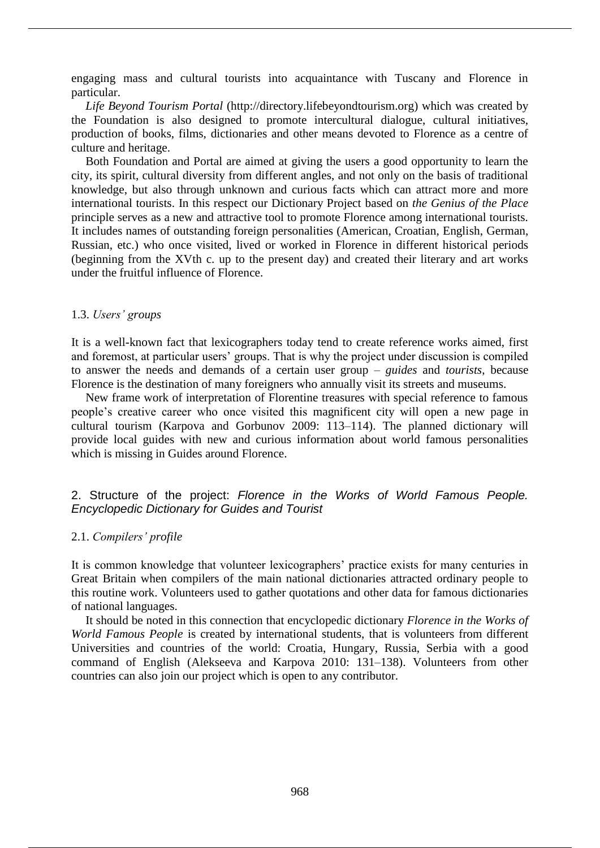engaging mass and cultural tourists into acquaintance with Tuscany and Florence in particular.

*Life Beyond Tourism Portal* (http://directory.lifebeyondtourism.org) which was created by the Foundation is also designed to promote intercultural dialogue, cultural initiatives, production of books, films, dictionaries and other means devoted to Florence as a centre of culture and heritage.

Both Foundation and Portal are aimed at giving the users a good opportunity to learn the city, its spirit, cultural diversity from different angles, and not only on the basis of traditional knowledge, but also through unknown and curious facts which can attract more and more international tourists. In this respect our Dictionary Project based on *the Genius of the Place*  principle serves as a new and attractive tool to promote Florence among international tourists. It includes names of outstanding foreign personalities (American, Croatian, English, German, Russian, etc.) who once visited, lived or worked in Florence in different historical periods (beginning from the XVth c. up to the present day) and created their literary and art works under the fruitful influence of Florence.

## 1.3. *Users' groups*

It is a well-known fact that lexicographers today tend to create reference works aimed, first and foremost, at particular users' groups. That is why the project under discussion is compiled to answer the needs and demands of a certain user group – *guides* and *tourists*, because Florence is the destination of many foreigners who annually visit its streets and museums.

New frame work of interpretation of Florentine treasures with special reference to famous people's creative career who once visited this magnificent city will open a new page in cultural tourism (Karpova and Gorbunov 2009: 113–114). The planned dictionary will provide local guides with new and curious information about world famous personalities which is missing in Guides around Florence.

# 2. Structure of the project: *Florence in the Works of World Famous People. Encyclopedic Dictionary for Guides and Tourist*

## 2.1. *Compilers' profile*

It is common knowledge that volunteer lexicographers' practice exists for many centuries in Great Britain when compilers of the main national dictionaries attracted ordinary people to this routine work. Volunteers used to gather quotations and other data for famous dictionaries of national languages.

It should be noted in this connection that encyclopedic dictionary *Florence in the Works of World Famous People* is created by international students, that is volunteers from different Universities and countries of the world: Croatia, Hungary, Russia, Serbia with a good command of English (Alekseeva and Karpova 2010: 131–138). Volunteers from other countries can also join our project which is open to any contributor.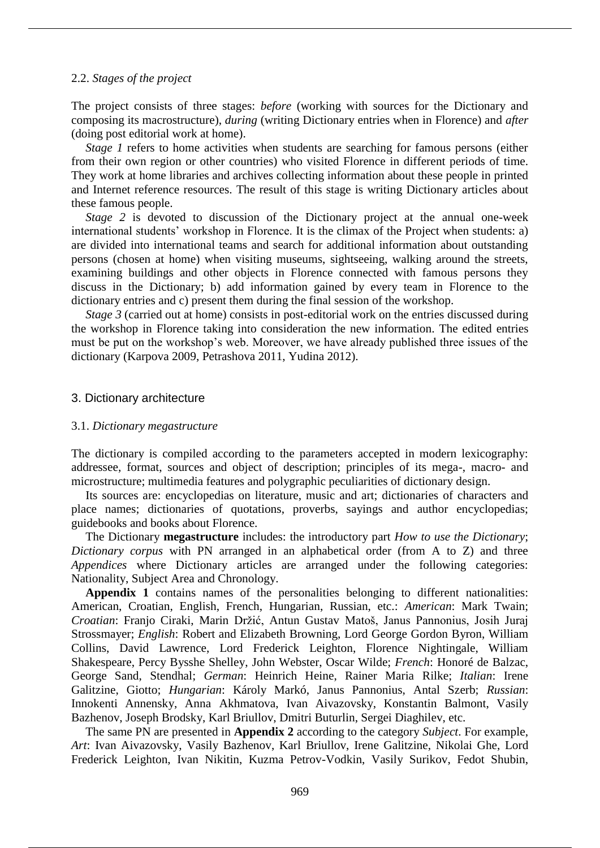#### 2.2. *Stages of the project*

The project consists of three stages: *before* (working with sources for the Dictionary and composing its macrostructure), *during* (writing Dictionary entries when in Florence) and *after* (doing post editorial work at home).

*Stage 1* refers to home activities when students are searching for famous persons (either from their own region or other countries) who visited Florence in different periods of time. They work at home libraries and archives collecting information about these people in printed and Internet reference resources. The result of this stage is writing Dictionary articles about these famous people.

*Stage 2* is devoted to discussion of the Dictionary project at the annual one-week international students' workshop in Florence. It is the climax of the Project when students: a) are divided into international teams and search for additional information about outstanding persons (chosen at home) when visiting museums, sightseeing, walking around the streets, examining buildings and other objects in Florence connected with famous persons they discuss in the Dictionary; b) add information gained by every team in Florence to the dictionary entries and c) present them during the final session of the workshop.

*Stage 3* (carried out at home) consists in post-editorial work on the entries discussed during the workshop in Florence taking into consideration the new information. The edited entries must be put on the workshop's web. Moreover, we have already published three issues of the dictionary (Karpova 2009, Petrashova 2011, Yudina 2012).

#### 3. Dictionary architecture

#### 3.1. *Dictionary megastructure*

The dictionary is compiled according to the parameters accepted in modern lexicography: addressee, format, sources and object of description; principles of its mega-, macro- and microstructure; multimedia features and polygraphic peculiarities of dictionary design.

Its sources are: encyclopedias on literature, music and art; dictionaries of characters and place names; dictionaries of quotations, proverbs, sayings and author encyclopedias; guidebooks and books about Florence.

The Dictionary **megastructure** includes: the introductory part *How to use the Dictionary*; *Dictionary corpus* with PN arranged in an alphabetical order (from A to Z) and three *Appendices* where Dictionary articles are arranged under the following categories: Nationality, Subject Area and Chronology.

**Appendix 1** contains names of the personalities belonging to different nationalities: American, Croatian, English, French, Hungarian, Russian, etc.: *American*: Mark Twain; *Croatian*: Franjo Ciraki, Marin Držić, Antun Gustav Matoš, Janus Pannonius, Josih Juraj Strossmayer; *English*: Robert and Elizabeth Browning, Lord George Gordon Byron, William Collins, David Lawrence, Lord Frederick Leighton, Florence Nightingale, William Shakespeare, Percy Bysshe Shelley, John Webster, Oscar Wilde; *French*: Honoré de Balzac, George Sand, Stendhal; *German*: Heinrich Heine, Rainer Maria Rilke; *Italian*: Irene Galitzine, Giotto; *Hungarian*: Károly Markó, Janus Pannonius, Antal Szerb; *Russian*: Innokenti Annensky, Anna Akhmatova, Ivan Aivazovsky, Konstantin Balmont, Vasily Bazhenov, Joseph Brodsky, Karl Briullov, Dmitri Buturlin, Sergei Diaghilev, etc.

The same PN are presented in **Appendix 2** according to the category *Subject*. For example, *Art*: Ivan Aivazovsky, Vasily Bazhenov, Karl Briullov, Irene Galitzine, Nikolai Ghe, Lord Frederick Leighton, Ivan Nikitin, Kuzma Petrov-Vodkin, Vasily Surikov, Fedot Shubin,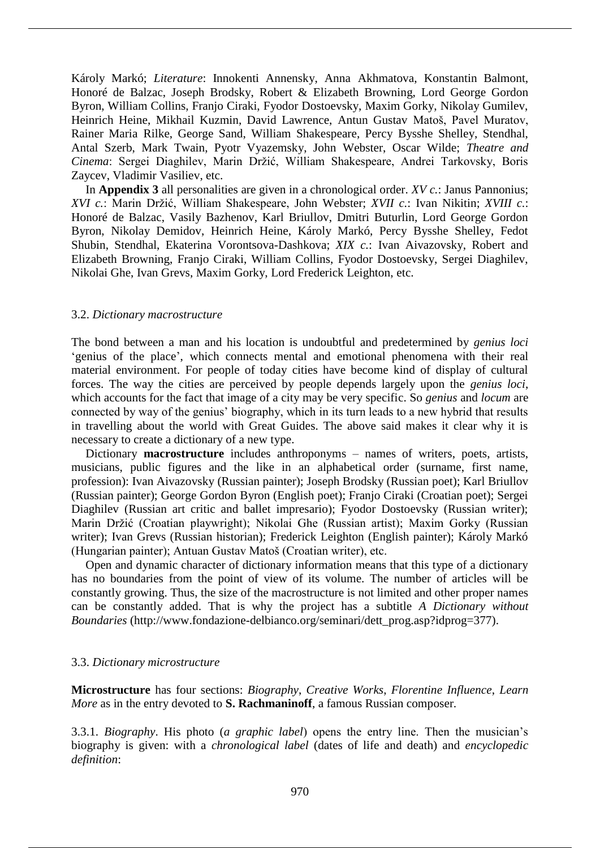Károly Markó; *Literature*: Innokenti Annensky, Anna Akhmatova, Konstantin Balmont, Honoré de Balzac, Joseph Brodsky, Robert & Elizabeth Browning, Lord George Gordon Byron, William Collins, Franjo Ciraki, Fyodor Dostoevsky, Maxim Gorky, Nikolay Gumilev, Heinrich Heine, Mikhail Kuzmin, David Lawrence, Antun Gustav Matoš, Pavel Muratov, Rainer Maria Rilke, George Sand, William Shakespeare, Percy Bysshe Shelley, Stendhal, Antal Szerb, Mark Twain, Pyotr Vyazemsky, John Webster, Oscar Wilde; *Theatre and Cinema*: Sergei Diaghilev, Marin Držić, William Shakespeare, Andrei Tarkovsky, Boris Zaycev, Vladimir Vasiliev, etc.

In **Appendix 3** all personalities are given in a chronological order. *XV c.*: Janus Pannonius; *XVI c.*: Marin Držić, William Shakespeare, John Webster; *XVII c.*: Ivan Nikitin; *XVIII c.*: Honoré de Balzac, Vasily Bazhenov, Karl Briullov, Dmitri Buturlin, Lord George Gordon Byron, Nikolay Demidov, Heinrich Heine, Károly Markó, Percy Bysshe Shelley, Fedot Shubin, Stendhal, Ekaterina Vorontsova-Dashkova; *XIX c.*: Ivan Aivazovsky, Robert and Elizabeth Browning, Franjo Ciraki, William Collins, Fyodor Dostoevsky, Sergei Diaghilev, Nikolai Ghe, Ivan Grevs, Maxim Gorky, Lord Frederick Leighton, etc.

## 3.2. *Dictionary macrostructure*

The bond between a man and his location is undoubtful and predetermined by *genius loci* 'genius of the place', which connects mental and emotional phenomena with their real material environment. For people of today cities have become kind of display of cultural forces. The way the cities are perceived by people depends largely upon the *genius loci*, which accounts for the fact that image of a city may be very specific. So *genius* and *locum* are connected by way of the genius' biography, which in its turn leads to a new hybrid that results in travelling about the world with Great Guides. The above said makes it clear why it is necessary to create a dictionary of a new type.

Dictionary **macrostructure** includes anthroponyms – names of writers, poets, artists, musicians, public figures and the like in an alphabetical order (surname, first name, profession): Ivan Aivazovsky (Russian painter); Joseph Brodsky (Russian poet); Karl Briullov (Russian painter); George Gordon Byron (English poet); Franjo Ciraki (Croatian poet); Sergei Diaghilev (Russian art critic and ballet impresario); Fyodor Dostoevsky (Russian writer); Marin Držić (Croatian playwright); Nikolai Ghe (Russian artist); Maxim Gorky (Russian writer); Ivan Grevs (Russian historian); Frederick Leighton (English painter); Károly Markó (Hungarian painter); Antuan Gustav Matoš (Croatian writer), etc.

Open and dynamic character of dictionary information means that this type of a dictionary has no boundaries from the point of view of its volume. The number of articles will be constantly growing. Thus, the size of the macrostructure is not limited and other proper names can be constantly added. That is why the project has a subtitle *A Dictionary without Boundaries* (http://www.fondazione-delbianco.org/seminari/dett\_prog.asp?idprog=377).

## 3.3. *Dictionary microstructure*

**Microstructure** has four sections: *Biography*, *Creative Works*, *Florentine Influence*, *Learn More* as in the entry devoted to **S. Rachmaninoff**, a famous Russian composer.

3.3.1. *Biography*. His photo (*a graphic label*) opens the entry line. Then the musician's biography is given: with a *chronological label* (dates of life and death) and *encyclopedic definition*: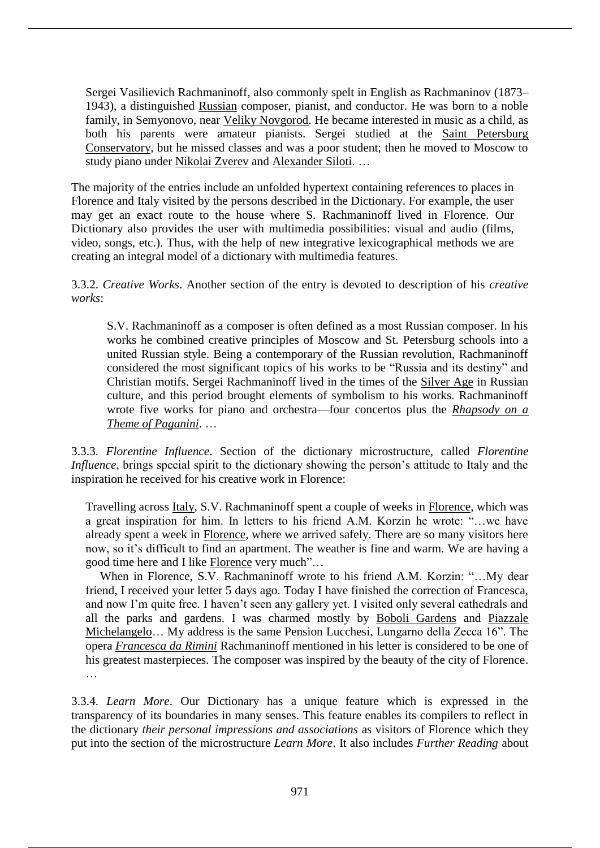Sergei Vasilievich Rachmaninoff, also commonly spelt in English as Rachmaninov (1873– 1943), a distinguished Russian composer, pianist, and conductor. He was born to a noble family, in Semyonovo, near Veliky Novgorod. He became interested in music as a child, as both his parents were amateur pianists. Sergei studied at the Saint Petersburg Conservatory, but he missed classes and was a poor student; then he moved to Moscow to study piano under Nikolai Zverev and Alexander Siloti. …

The majority of the entries include an unfolded hypertext containing references to places in Florence and Italy visited by the persons described in the Dictionary. For example, the user may get an exact route to the house where S. Rachmaninoff lived in Florence. Our Dictionary also provides the user with multimedia possibilities: visual and audio (films, video, songs, etc.). Thus, with the help of new integrative lexicographical methods we are creating an integral model of a dictionary with multimedia features.

3.3.2. *Creative Works*. Another section of the entry is devoted to description of his *creative works*:

S.V. Rachmaninoff as a composer is often defined as a most Russian composer. In his works he combined creative principles of Moscow and St. Petersburg schools into a united Russian style. Being a contemporary of the Russian revolution, Rachmaninoff considered the most significant topics of his works to be "Russia and its destiny" and Christian motifs. Sergei Rachmaninoff lived in the times of the Silver Age in Russian culture, and this period brought elements of symbolism to his works. Rachmaninoff wrote five works for piano and orchestra—four concertos plus the *Rhapsody on a Theme of Paganini*. …

3.3.3. *Florentine Influence*. Section of the dictionary microstructure, called *Florentine Influence*, brings special spirit to the dictionary showing the person's attitude to Italy and the inspiration he received for his creative work in Florence:

Travelling across Italy, S.V. Rachmaninoff spent a couple of weeks in Florence, which was a great inspiration for him. In letters to his friend A.M. Korzin he wrote: "…we have already spent a week in Florence, where we arrived safely. There are so many visitors here now, so it's difficult to find an apartment. The weather is fine and warm. We are having a good time here and I like Florence very much"…

When in Florence, S.V. Rachmaninoff wrote to his friend A.M. Korzin: "…My dear friend, I received your letter 5 days ago. Today I have finished the correction of Francesca, and now I'm quite free. I haven't seen any gallery yet. I visited only several cathedrals and all the parks and gardens. I was charmed mostly by Boboli Gardens and Piazzale Michelangelo… My address is the same Pension Lucchesi, Lungarno della Zecca 16". The opera *Francesca da Rimini* Rachmaninoff mentioned in his letter is considered to be one of his greatest masterpieces. The composer was inspired by the beauty of the city of Florence. …

3.3.4. *Learn More*. Our Dictionary has a unique feature which is expressed in the transparency of its boundaries in many senses. This feature enables its compilers to reflect in the dictionary *their personal impressions and associations* as visitors of Florence which they put into the section of the microstructure *Learn More*. It also includes *Further Reading* about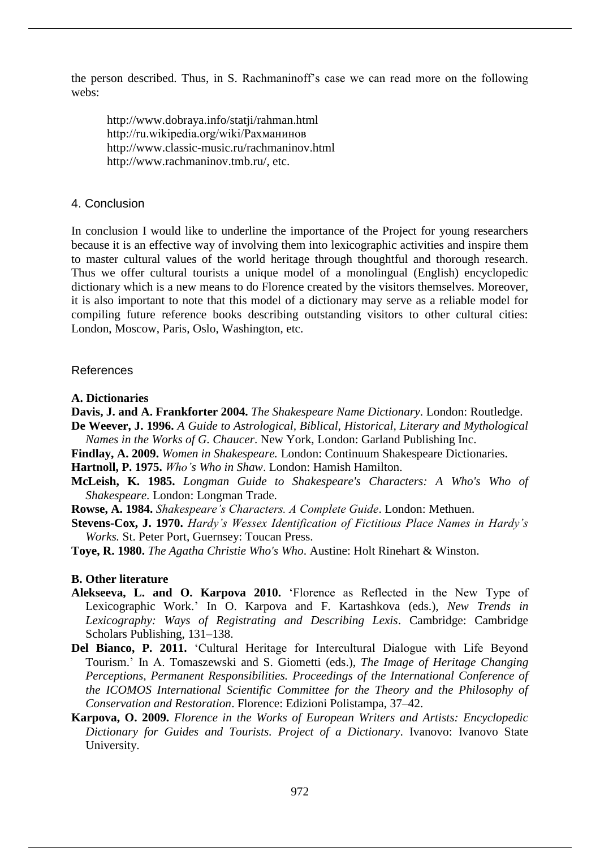the person described. Thus, in S. Rachmaninoff's case we can read more on the following webs:

http://www.dobraya.info/statji/rahman.html http://ru.wikipedia.org/wiki/Рахманинов http://www.classic-music.ru/rachmaninov.html http://www.rachmaninov.tmb.ru/, etc.

# 4. Conclusion

In conclusion I would like to underline the importance of the Project for young researchers because it is an effective way of involving them into lexicographic activities and inspire them to master cultural values of the world heritage through thoughtful and thorough research. Thus we offer cultural tourists a unique model of a monolingual (English) encyclopedic dictionary which is a new means to do Florence created by the visitors themselves. Moreover, it is also important to note that this model of a dictionary may serve as a reliable model for compiling future reference books describing outstanding visitors to other cultural cities: London, Moscow, Paris, Oslo, Washington, etc.

# References

- **A. Dictionaries**
- **Davis, J. and A. Frankforter 2004.** *The Shakespeare Name Dictionary*. London: Routledge.
- **De Weever, J. 1996.** *A Guide to Astrological, Biblical, Historical, Literary and Mythological Names in the Works of G. Chaucer*. New York, London: Garland Publishing Inc.
- **Findlay, A. 2009.** *Women in Shakespeare.* London: Continuum Shakespeare Dictionaries.

**Hartnoll, P. 1975.** *Who's Who in Shaw*. London: Hamish Hamilton.

**McLeish, K. 1985.** *Longman Guide to Shakespeare's Characters: A Who's Who of Shakespeare*. London: Longman Trade.

**Rowse, A. 1984.** *Shakespeare's Characters. A Complete Guide*. London: Methuen.

**Stevens-Cox, J. 1970.** *Hardy's Wessex Identification of Fictitious Place Names in Hardy's Works.* St. Peter Port, Guernsey: Toucan Press.

**Toye, R. 1980.** *The Agatha Christie Who's Who*. Austine: Holt Rinehart & Winston.

# **B. Other literature**

- **Alekseeva, L. and O. Karpova 2010.** 'Florence as Reflected in the New Type of Lexicographic Work.' In O. Karpova and F. Kartashkova (eds.), *New Trends in Lexicography: Ways of Registrating and Describing Lexis*. Cambridge: Cambridge Scholars Publishing, 131–138.
- **Del Bianco, P. 2011.** 'Cultural Heritage for Intercultural Dialogue with Life Beyond Tourism.' In A. Tomaszewski and S. Giometti (eds.), *The Image of Heritage Changing Perceptions, Permanent Responsibilities. Proceedings of the International Conference of the ICOMOS International Scientific Committee for the Theory and the Philosophy of Conservation and Restoration*. Florence: Edizioni Polistampa, 37–42.
- **Karpova, O. 2009.** *Florence in the Works of European Writers and Artists: Encyclopedic Dictionary for Guides and Tourists. Project of a Dictionary*. Ivanovo: Ivanovo State University.